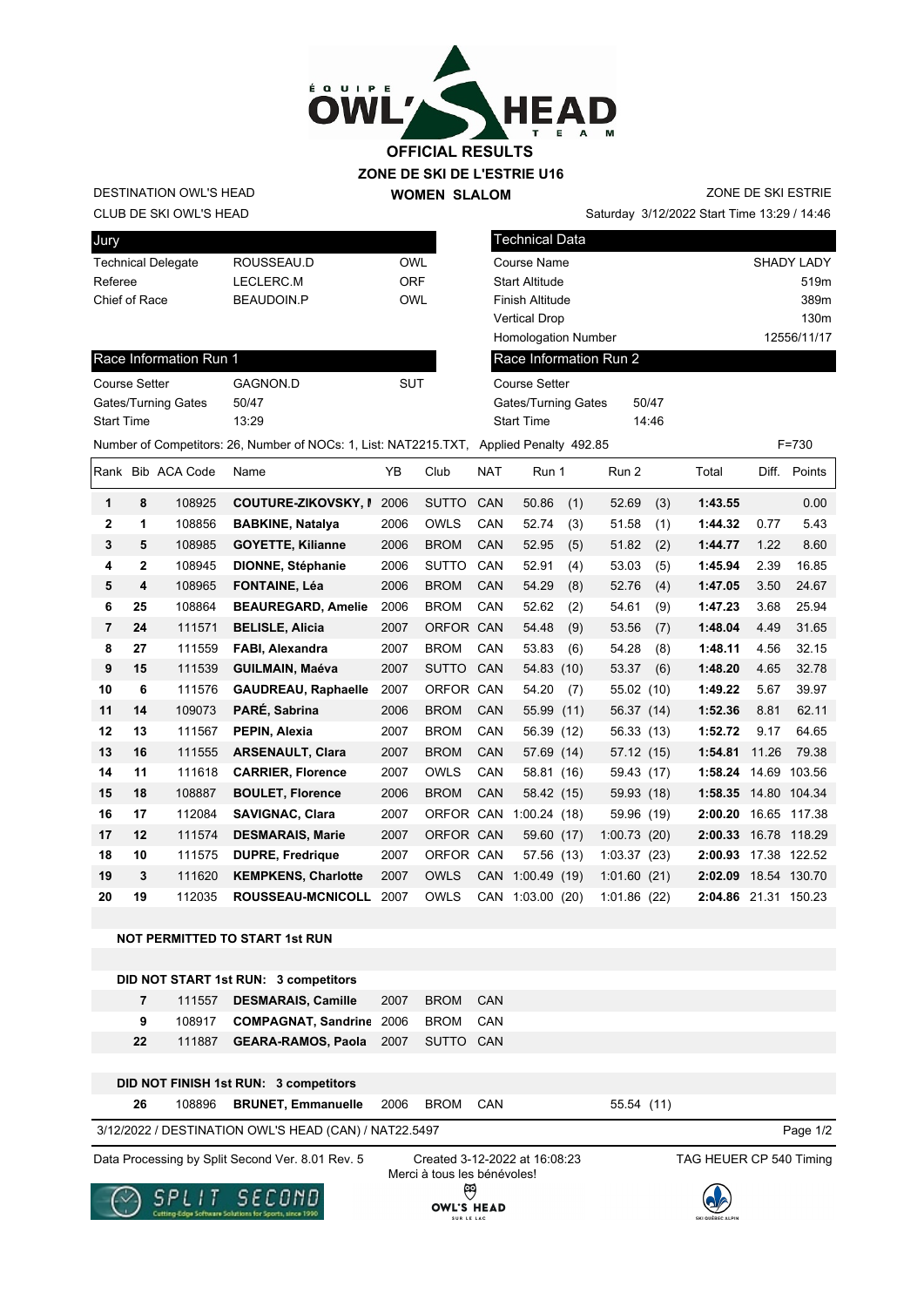

DESTINATION OWL'S HEAD

**WOMEN SLALOM** 

Saturday 3/12/2022 Start Time 13:29 / 14:46 ZONE DE SKI ESTRIE

| CLUB DE SKI OWL'S HEAD |  |
|------------------------|--|
|                        |  |
| <b>Jury</b>            |  |

| <b>Technical Delegate</b> | ROUSSEAU.D | OWI |
|---------------------------|------------|-----|
| Referee                   | LECLERC.M  | ORF |
| Chief of Race             | BEAUDOIN.P | OWI |
|                           |            |     |

| Technical Data             |                   |
|----------------------------|-------------------|
| Course Name                | <b>SHADY LADY</b> |
| <b>Start Altitude</b>      | 519m              |
| Finish Altitude            | 389m              |
| <b>Vertical Drop</b>       | 130 <sub>m</sub>  |
| <b>Homologation Number</b> | 12556/11/17       |
| Race Information Run 2     |                   |
| <b>Course Setter</b>       |                   |

Gates/Turning Gates 50/47 Start Time 14:46

| Race Information Run 1 |          |     |
|------------------------|----------|-----|
| <b>Course Setter</b>   | GAGNON D | SUT |
| Gates/Turning Gates    | 50/47    |     |
| <b>Start Time</b>      | 13.29    |     |

| Number of Competitors: 26, Number of NOCs: 1, List: NAT2215.TXT, Applied Penalty 492.85<br>$F = 730$ |    |                   |                            |      |              |            |             |      |             |      |         |       |              |
|------------------------------------------------------------------------------------------------------|----|-------------------|----------------------------|------|--------------|------------|-------------|------|-------------|------|---------|-------|--------------|
|                                                                                                      |    | Rank Bib ACA Code | Name                       | YB   | Club         | <b>NAT</b> | Run 1       |      | Run 2       |      | Total   | Diff. | Points       |
| 1                                                                                                    | 8  | 108925            | <b>COUTURE-ZIKOVSKY, I</b> | 2006 | <b>SUTTO</b> | <b>CAN</b> | 50.86       | (1)  | 52.69       | (3)  | 1:43.55 |       | 0.00         |
| $\mathbf{2}$                                                                                         | 1  | 108856            | <b>BABKINE, Natalya</b>    | 2006 | <b>OWLS</b>  | CAN        | 52.74       | (3)  | 51.58       | (1)  | 1:44.32 | 0.77  | 5.43         |
| 3                                                                                                    | 5  | 108985            | <b>GOYETTE, Kilianne</b>   | 2006 | <b>BROM</b>  | <b>CAN</b> | 52.95       | (5)  | 51.82       | (2)  | 1:44.77 | 1.22  | 8.60         |
| 4                                                                                                    | 2  | 108945            | <b>DIONNE, Stéphanie</b>   | 2006 | <b>SUTTO</b> | CAN        | 52.91       | (4)  | 53.03       | (5)  | 1:45.94 | 2.39  | 16.85        |
| 5                                                                                                    | 4  | 108965            | <b>FONTAINE, Léa</b>       | 2006 | <b>BROM</b>  | <b>CAN</b> | 54.29       | (8)  | 52.76       | (4)  | 1:47.05 | 3.50  | 24.67        |
| 6                                                                                                    | 25 | 108864            | <b>BEAUREGARD, Amelie</b>  | 2006 | <b>BROM</b>  | <b>CAN</b> | 52.62       | (2)  | 54.61       | (9)  | 1:47.23 | 3.68  | 25.94        |
| 7                                                                                                    | 24 | 111571            | <b>BELISLE, Alicia</b>     | 2007 | <b>ORFOR</b> | CAN        | 54.48       | (9)  | 53.56       | (7)  | 1:48.04 | 4.49  | 31.65        |
| 8                                                                                                    | 27 | 111559            | FABI, Alexandra            | 2007 | <b>BROM</b>  | CAN        | 53.83       | (6)  | 54.28       | (8)  | 1:48.11 | 4.56  | 32.15        |
| 9                                                                                                    | 15 | 111539            | <b>GUILMAIN, Maéva</b>     | 2007 | <b>SUTTO</b> | CAN        | 54.83 (10)  |      | 53.37       | (6)  | 1:48.20 | 4.65  | 32.78        |
| 10                                                                                                   | 6  | 111576            | <b>GAUDREAU, Raphaelle</b> | 2007 | <b>ORFOR</b> | CAN        | 54.20       | (7)  | 55.02 (10)  |      | 1:49.22 | 5.67  | 39.97        |
| 11                                                                                                   | 14 | 109073            | PARÉ, Sabrina              | 2006 | <b>BROM</b>  | <b>CAN</b> | 55.99 (11)  |      | 56.37 (14)  |      | 1:52.36 | 8.81  | 62.11        |
| 12                                                                                                   | 13 | 111567            | PEPIN, Alexia              | 2007 | <b>BROM</b>  | <b>CAN</b> | 56.39 (12)  |      | 56.33 (13)  |      | 1:52.72 | 9.17  | 64.65        |
| 13                                                                                                   | 16 | 111555            | <b>ARSENAULT, Clara</b>    | 2007 | <b>BROM</b>  | <b>CAN</b> | 57.69 (14)  |      | 57.12(15)   |      | 1:54.81 | 11.26 | 79.38        |
| 14                                                                                                   | 11 | 111618            | <b>CARRIER, Florence</b>   | 2007 | <b>OWLS</b>  | <b>CAN</b> | 58.81 (16)  |      | 59.43 (17)  |      | 1:58.24 | 14.69 | 103.56       |
| 15                                                                                                   | 18 | 108887            | <b>BOULET, Florence</b>    | 2006 | <b>BROM</b>  | CAN        | 58.42 (15)  |      | 59.93 (18)  |      | 1:58.35 |       | 14.80 104.34 |
| 16                                                                                                   | 17 | 112084            | <b>SAVIGNAC, Clara</b>     | 2007 | ORFOR        | CAN        | 1:00.24(18) |      | 59.96 (19)  |      | 2:00.20 | 16.65 | 117.38       |
| 17                                                                                                   | 12 | 111574            | <b>DESMARAIS, Marie</b>    | 2007 | ORFOR CAN    |            | 59.60 (17)  |      | 1:00.73(20) |      | 2:00.33 |       | 16.78 118.29 |
| 18                                                                                                   | 10 | 111575            | <b>DUPRE, Fredrigue</b>    | 2007 | ORFOR CAN    |            | 57.56 (13)  |      | 1:03.37(23) |      | 2:00.93 |       | 17.38 122.52 |
| 19                                                                                                   | 3  | 111620            | <b>KEMPKENS, Charlotte</b> | 2007 | <b>OWLS</b>  | CAN        | 1:00.49(19) |      | 1:01.60(21) |      | 2:02.09 |       | 18.54 130.70 |
| 20                                                                                                   | 19 | 112035            | <b>ROUSSEAU-MCNICOLL</b>   | 2007 | <b>OWLS</b>  | CAN        | 1:03.00     | (20) | 1:01.86     | (22) | 2:04.86 | 21.31 | 150.23       |

**NOT PERMITTED TO START 1st RUN**

| DID NOT START 1st RUN: 3 competitors |
|--------------------------------------|
|--------------------------------------|

|    | 7 111557 <b>DESMARAIS. Camille</b> 2007 BROM CAN |  |  |
|----|--------------------------------------------------|--|--|
| 9  | 108917 COMPAGNAT, Sandrine 2006 BROM CAN         |  |  |
| 22 | 111887 <b>GEARA-RAMOS, Paola</b> 2007 SUTTO CAN  |  |  |

|    | DID NOT FINISH 1st RUN: 3 competitors   |  |            |  |
|----|-----------------------------------------|--|------------|--|
| 26 | 108896 BRUNET, Emmanuelle 2006 BROM CAN |  | 55.54 (11) |  |

3/12/2022 / DESTINATION OWL'S HEAD (CAN) / NAT22.5497

Page 1/2

Data Processing by Split Second Ver. 8.01 Rev. 5 Created 3-12-2022 at 16:08:23 TAG HEUER CP 540 Timing

Created 3-12-2022 at 16:08:23 Merci à tous les bénévoles! $\Theta$ **OWL'S HEAD**